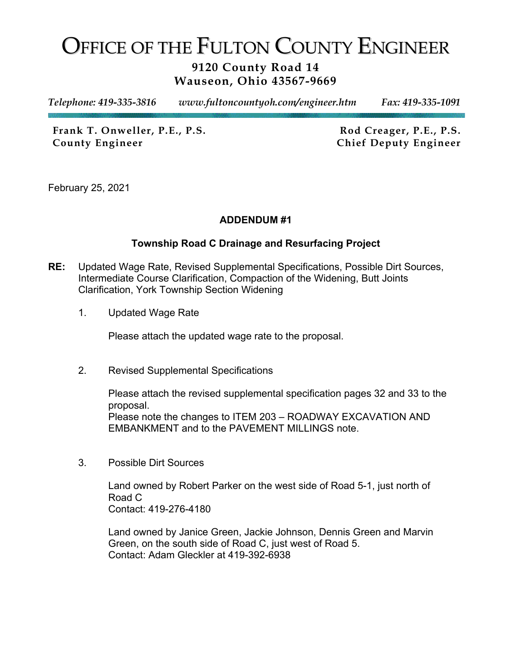## OFFICE OF THE FULTON COUNTY ENGINEER

## **9120 County Road 14 Wauseon, Ohio 43567-9669**

*Telephone: 419-335-3816 www.fultoncountyoh.com/engineer.htm Fax: 419-335-1091* 

Frank T. Onweller, P.E., P.S. Rod Creager, P.E., P.S. **County Engineer Chief Deputy Engineer**

February 25, 2021

## **ADDENDUM #1**

## **Township Road C Drainage and Resurfacing Project**

- **RE:** Updated Wage Rate, Revised Supplemental Specifications, Possible Dirt Sources, Intermediate Course Clarification, Compaction of the Widening, Butt Joints Clarification, York Township Section Widening
	- 1. Updated Wage Rate

Please attach the updated wage rate to the proposal.

2. Revised Supplemental Specifications

Please attach the revised supplemental specification pages 32 and 33 to the proposal. Please note the changes to ITEM 203 – ROADWAY EXCAVATION AND EMBANKMENT and to the PAVEMENT MILLINGS note.

3. Possible Dirt Sources

Land owned by Robert Parker on the west side of Road 5-1, just north of Road C Contact: 419-276-4180

Land owned by Janice Green, Jackie Johnson, Dennis Green and Marvin Green, on the south side of Road C, just west of Road 5. Contact: Adam Gleckler at 419-392-6938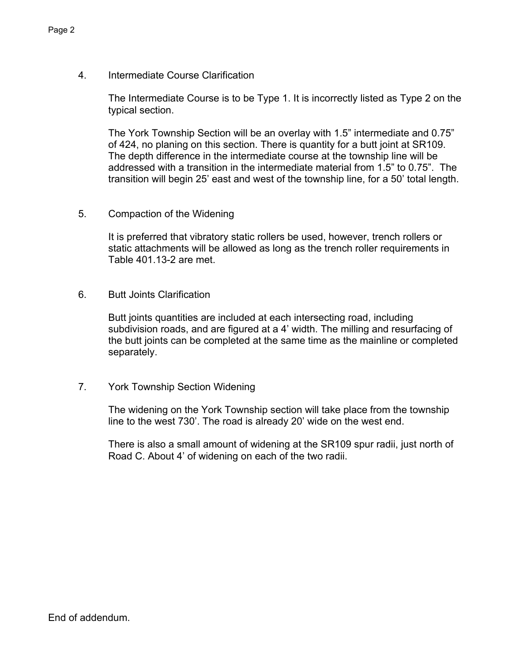The Intermediate Course is to be Type 1. It is incorrectly listed as Type 2 on the typical section.

The York Township Section will be an overlay with 1.5" intermediate and 0.75" of 424, no planing on this section. There is quantity for a butt joint at SR109. The depth difference in the intermediate course at the township line will be addressed with a transition in the intermediate material from 1.5" to 0.75". The transition will begin 25' east and west of the township line, for a 50' total length.

5. Compaction of the Widening

It is preferred that vibratory static rollers be used, however, trench rollers or static attachments will be allowed as long as the trench roller requirements in Table 401.13-2 are met.

6. Butt Joints Clarification

Butt joints quantities are included at each intersecting road, including subdivision roads, and are figured at a 4' width. The milling and resurfacing of the butt joints can be completed at the same time as the mainline or completed separately.

7. York Township Section Widening

The widening on the York Township section will take place from the township line to the west 730'. The road is already 20' wide on the west end.

There is also a small amount of widening at the SR109 spur radii, just north of Road C. About 4' of widening on each of the two radii.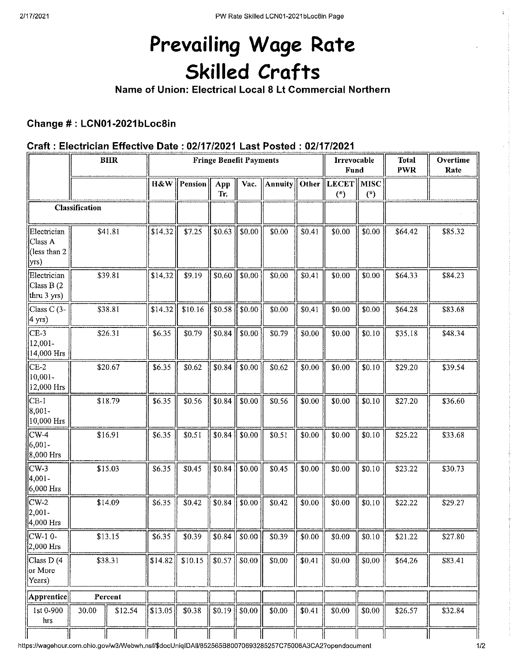# Prevailing Wage Rate **Skilled Crafts**

Name of Union: Electrical Local 8 Lt Commercial Northern

## Change #: LCN01-2021bLoc8in

## Craft: Electrician Effective Date: 02/17/2021 Last Posted: 02/17/2021

|                                                        |         | <b>BHR</b> | <b>Fringe Benefit Payments</b> |         |            |        |                |        | Irrevocable<br>Fund        |        | <b>Total</b><br><b>PWR</b> | Overtime<br>Rate |
|--------------------------------------------------------|---------|------------|--------------------------------|---------|------------|--------|----------------|--------|----------------------------|--------|----------------------------|------------------|
|                                                        |         |            | H&W                            | Pension | App<br>Tr. | Vac.   | <b>Annuity</b> | Other  | <b>LECET</b> MISC<br>$(*)$ | $(*)$  |                            |                  |
| Classification                                         |         |            |                                |         |            |        |                |        |                            |        |                            |                  |
| Electrician<br>Class A<br>(less than 2<br>$\vert$ yrs) |         | \$41.81    | \$14.32                        | \$7.25  | \$0.63     | \$0.00 | \$0.00         | \$0.41 | \$0.00                     | \$0.00 | \$64.42                    | \$85.32          |
| Electrician<br>Class B(2)<br>thru 3 yrs)               |         | \$39.81    | \$14.32                        | \$9.19  | \$0.60     | \$0.00 | \$0.00         | \$0.41 | \$0.00                     | \$0.00 | \$64.33                    | \$84.23          |
| Class C (3-<br>$\vert$ 4 yrs)                          | \$38.81 |            | \$14.32                        | \$10.16 | \$0.58     | \$0.00 | \$0.00         | \$0.41 | \$0.00                     | \$0.00 | \$64.28                    | \$83.68          |
| $ CE-3 $<br>12,001-<br>14,000 Hrs                      | \$26.31 |            | \$6.35                         | \$0.79  | \$0.84     | \$0.00 | \$0.79         | \$0.00 | \$0.00                     | \$0.10 | \$35.18                    | \$48.34          |
| $CE-2$<br>10,001-<br>12,000 Hrs                        | \$20.67 |            | \$6.35                         | \$0.62  | \$0.84     | \$0.00 | \$0.62         | \$0.00 | \$0.00                     | \$0.10 | \$29.20                    | \$39.54          |
| $CE-1$<br>$ 8,001 -$<br>$ 10,000 \text{ Hrs} $         | \$18.79 |            | \$6.35                         | \$0.56  | \$0.84     | \$0.00 | \$0.56         | \$0.00 | \$0.00                     | \$0.10 | \$27.20                    | \$36.60          |
| $CW-4$<br>$6,001-$<br>8,000 Hrs                        | \$16.91 |            | \$6.35                         | \$0.51  | \$0.84     | \$0.00 | \$0.51         | \$0.00 | \$0.00                     | \$0.10 | \$25.22                    | \$33.68          |
| $CW-3$<br>$ 4,001 -$<br>6,000 Hrs                      | \$15.03 |            | \$6.35                         | \$0.45  | \$0.84     | \$0.00 | \$0.45         | \$0.00 | \$0.00                     | \$0.10 | \$23.22                    | \$30.73          |
| $CW-2$<br>$2,001-$<br>4,000 Hrs                        | \$14.09 |            | \$6.35                         | \$0.42  | \$0.84     | \$0.00 | \$0.42         | \$0.00 | \$0.00                     | \$0.10 | \$22.22                    | \$29.27          |
| $CW-10-$<br>2,000 Hrs                                  | \$13.15 |            | \$6.35                         | \$0.39  | \$0.84     | \$0.00 | \$0.39         | \$0.00 | \$0.00                     | \$0.10 | \$21.22                    | \$27.80          |
| Class D(4<br>or More<br>Years)                         | \$38.31 |            | \$14.82                        | \$10.15 | \$0.57     | \$0.00 | \$0.00         | \$0.41 | \$0.00                     | \$0.00 | \$64.26                    | \$83.41          |
| Apprentice                                             | Percent |            |                                |         |            |        |                |        |                            |        |                            |                  |
| 1st 0-900<br>hrs                                       | 30.00   | \$12.54    | \$13.05                        | \$0,38  | \$0.19     | \$0.00 | \$0.00         | \$0.41 | \$0.00                     | \$0.00 | \$26.57                    | \$32.84          |

https://wagehour.com.ohio.gov/w3/Webwh.nsf/\$docUniqIDAll/852565B80070693285257C75006A3CA2?opendocument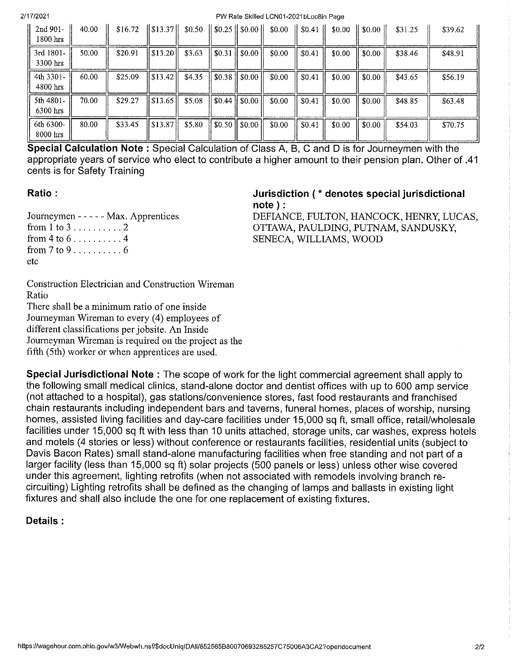PW Rate Skilled LCN01-2021bLoc8in Page

| 2nd 901-<br>$1800$ hrs  | 40.00 | \$16.72 |                                 |        |                                                   | $\ \$13.37\ $ \$0.50 $\ \$0.25\ $ \$0.00 $\ \$0.00\ $ \$0.41 $\ $ |                    | \$0.00 | $\parallel$ \$0.00 $\parallel$ | \$31.25 | \$39.62 |
|-------------------------|-------|---------|---------------------------------|--------|---------------------------------------------------|-------------------------------------------------------------------|--------------------|--------|--------------------------------|---------|---------|
| 3rd 1801-<br>3300 hrs   | 50.00 | \$20.91 | $\parallel$ \$13.20 $\parallel$ | \$3.63 | \$0.31    \$0.00                                  | \$0.00                                                            | \$0.41             | \$0.00 | \$0.00                         | \$38.46 | \$48.91 |
| 4th 3301-<br>4800 hrs   | 60.00 | \$25.09 | $\parallel$ \$13.42 $\parallel$ | \$4.35 | $\parallel$ \$0.38 $\parallel$ \$0.00 $\parallel$ | \$0.00                                                            | $\parallel$ \$0.41 | \$0.00 | \$0.00                         | \$43.65 | \$56.19 |
| 5th 4801-<br>$6300$ hrs | 70.00 | \$29.27 | $\parallel$ \$13.65 $\parallel$ | \$5.08 | $\parallel$ \$0.44 $\parallel$ \$0.00 $\parallel$ | \$0.00                                                            | \$0.41             | \$0.00 | \$0.00                         | \$48.85 | \$63.48 |
| 6th 6300-<br>8000 hrs   | 80.00 | \$33.45 | $\ $ \$13.87                    | \$5.80 | $\parallel$ \$0.50 $\parallel$ \$0.00 $\parallel$ | \$0.00                                                            | \$0.41             | \$0.00 | \$0.00                         | \$54.03 | \$70.75 |

Special Calculation Note: Special Calculation of Class A, B, C and D is for Journeymen with the 41. appropriate years of service who elect to contribute a higher amount to their pension plan. Other of cents is for Safety Training

## Ratio:

Journeymen - - - - - Max. Apprentices from 4 to  $6, \ldots, \ldots, 4$ from  $7 \text{ to } 9 \ldots \ldots \ldots 6$ etc

#### Jurisdiction (\* denotes special jurisdictional  $note$  :

DEFIANCE, FULTON, HANCOCK, HENRY, LUCAS, OTTAWA, PAULDING, PUTNAM, SANDUSKY, SENECA, WILLIAMS, WOOD

Construction Electrician and Construction Wireman Ratio

There shall be a minimum ratio of one inside Journeyman Wireman to every (4) employees of different classifications per jobsite. An Inside Journeyman Wireman is required on the project as the fifth (5th) worker or when apprentices are used.

Special Jurisdictional Note: The scope of work for the light commercial agreement shall apply to the following small medical clinics, stand-alone doctor and dentist offices with up to 600 amp service (not attached to a hospital), gas stations/convenience stores, fast food restaurants and franchised chain restaurants including independent bars and taverns, funeral homes, places of worship, nursing homes, assisted living facilities and day-care facilities under 15,000 sq ft, small office, retail/wholesale facilities under 15,000 sq ft with less than 10 units attached, storage units, car washes, express hotels and motels (4 stories or less) without conference or restaurants facilities, residential units (subject to Davis Bacon Rates) small stand-alone manufacturing facilities when free standing and not part of a larger facility (less than 15,000 sq ft) solar projects (500 panels or less) unless other wise covered under this agreement, lighting retrofits (when not associated with remodels involving branch recircuiting) Lighting retrofits shall be defined as the changing of lamps and ballasts in existing light fixtures and shall also include the one for one replacement of existing fixtures.

## Details: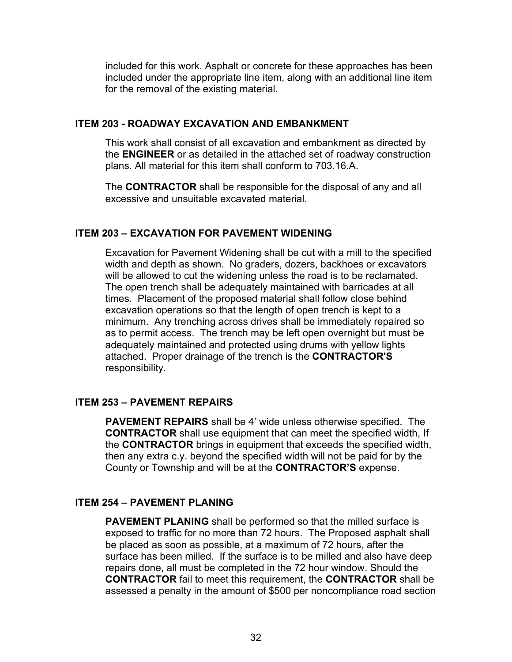included for this work. Asphalt or concrete for these approaches has been included under the appropriate line item, along with an additional line item for the removal of the existing material.

## **ITEM 203 - ROADWAY EXCAVATION AND EMBANKMENT**

This work shall consist of all excavation and embankment as directed by the **ENGINEER** or as detailed in the attached set of roadway construction plans. All material for this item shall conform to 703.16.A.

The **CONTRACTOR** shall be responsible for the disposal of any and all excessive and unsuitable excavated material.

## **ITEM 203 – EXCAVATION FOR PAVEMENT WIDENING**

Excavation for Pavement Widening shall be cut with a mill to the specified width and depth as shown. No graders, dozers, backhoes or excavators will be allowed to cut the widening unless the road is to be reclamated. The open trench shall be adequately maintained with barricades at all times. Placement of the proposed material shall follow close behind excavation operations so that the length of open trench is kept to a minimum. Any trenching across drives shall be immediately repaired so as to permit access. The trench may be left open overnight but must be adequately maintained and protected using drums with yellow lights attached. Proper drainage of the trench is the **CONTRACTOR'S** responsibility.

## **ITEM 253 – PAVEMENT REPAIRS**

**PAVEMENT REPAIRS** shall be 4' wide unless otherwise specified. The **CONTRACTOR** shall use equipment that can meet the specified width, If the **CONTRACTOR** brings in equipment that exceeds the specified width, then any extra c.y. beyond the specified width will not be paid for by the County or Township and will be at the **CONTRACTOR'S** expense.

## **ITEM 254 – PAVEMENT PLANING**

**PAVEMENT PLANING** shall be performed so that the milled surface is exposed to traffic for no more than 72 hours. The Proposed asphalt shall be placed as soon as possible, at a maximum of 72 hours, after the surface has been milled. If the surface is to be milled and also have deep repairs done, all must be completed in the 72 hour window. Should the **CONTRACTOR** fail to meet this requirement, the **CONTRACTOR** shall be assessed a penalty in the amount of \$500 per noncompliance road section